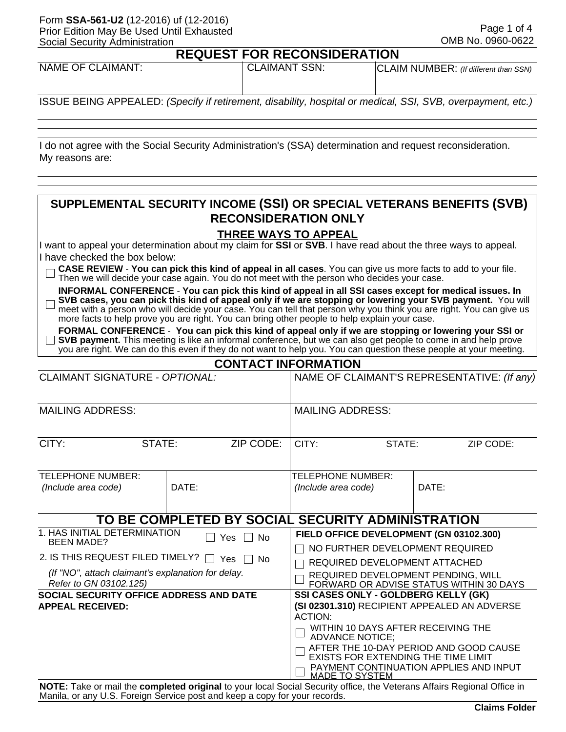#### Form **SSA-561-U2** (12-2016) uf (12-2016) Prior Edition May Be Used Until Exhausted Social Security Administration

### **REQUEST FOR RECONSIDERATION**

| <b>NAME OF CLAIMANT:</b> | <b>CLAIMANT SSN:</b> | CLAIM NUMBER: (If different than SSN) |  |  |  |  |
|--------------------------|----------------------|---------------------------------------|--|--|--|--|
|                          |                      |                                       |  |  |  |  |

ISSUE BEING APPEALED: *(Specify if retirement, disability, hospital or medical, SSI, SVB, overpayment, etc.)*

I do not agree with the Social Security Administration's (SSA) determination and request reconsideration. My reasons are:

## **SUPPLEMENTAL SECURITY INCOME (SSI) OR SPECIAL VETERANS BENEFITS (SVB) RECONSIDERATION ONLY**

### **THREE WAYS TO APPEAL**

I want to appeal your determination about my claim for **SSI** or **SVB**. I have read about the three ways to appeal. I have checked the box below:

|  | $\Box$ CASE REVIEW - You can pick this kind of appeal in all cases. You can give us more facts to add to your file. |  |
|--|---------------------------------------------------------------------------------------------------------------------|--|
|  | $\Box$ Then we will decide your case again. You do not meet with the person who decides your case.                  |  |

**INFORMAL CONFERENCE** - **You can pick this kind of appeal in all SSI cases except for medical issues. In SVB cases, you can pick this kind of appeal only if we are stopping or lowering your SVB payment.** You will  $\Box$ meet with a person who will decide your case. You can tell that person why you think you are right. You can give us more facts to help prove you are right. You can bring other people to help explain your case.

**FORMAL CONFERENCE** - **You can pick this kind of appeal only if we are stopping or lowering your SSI or SVB payment.** This meeting is like an informal conference, but we can also get people to come in and help prove you are right. We can do this even if they do not want to help you. You can question these people at your meeting.

|  | <b>CONTACT INFORMATION</b> |  |
|--|----------------------------|--|
|  |                            |  |

| <b>CLAIMANT SIGNATURE - OPTIONAL:</b>                                                                                                                                                                                        |        |                                                   | NAME OF CLAIMANT'S REPRESENTATIVE: (If any)                                                                                                                                                                                                                                                                                |  |       |  |
|------------------------------------------------------------------------------------------------------------------------------------------------------------------------------------------------------------------------------|--------|---------------------------------------------------|----------------------------------------------------------------------------------------------------------------------------------------------------------------------------------------------------------------------------------------------------------------------------------------------------------------------------|--|-------|--|
| <b>MAILING ADDRESS:</b>                                                                                                                                                                                                      |        |                                                   | <b>MAILING ADDRESS:</b>                                                                                                                                                                                                                                                                                                    |  |       |  |
| CITY:                                                                                                                                                                                                                        | STATE: | ZIP CODE:                                         | CITY:<br>STATE:<br>ZIP CODE:                                                                                                                                                                                                                                                                                               |  |       |  |
| <b>TELEPHONE NUMBER:</b><br>(Include area code)                                                                                                                                                                              | DATE:  |                                                   | TELEPHONE NUMBER:<br>(Include area code)                                                                                                                                                                                                                                                                                   |  | DATE: |  |
|                                                                                                                                                                                                                              |        | TO BE COMPLETED BY SOCIAL SECURITY ADMINISTRATION |                                                                                                                                                                                                                                                                                                                            |  |       |  |
| 1. HAS INITIAL DETERMINATION<br>Yes<br>N <sub>0</sub><br>$\Box$<br><b>BEEN MADE?</b><br>2. IS THIS REQUEST FILED TIMELY? $\Box$ Yes [<br>No.<br>(If "NO", attach claimant's explanation for delay.<br>Refer to GN 03102.125) |        |                                                   | FIELD OFFICE DEVELOPMENT (GN 03102.300)<br>NO FURTHER DEVELOPMENT REQUIRED<br>REQUIRED DEVELOPMENT ATTACHED<br>REQUIRED DEVELOPMENT PENDING, WILL<br>FORWARD OR ADVISE STATUS WITHIN 30 DAYS                                                                                                                               |  |       |  |
| SOCIAL SECURITY OFFICE ADDRESS AND DATE<br><b>APPEAL RECEIVED:</b>                                                                                                                                                           |        |                                                   | SSI CASES ONLY - GOLDBERG KELLY (GK)<br>(SI 02301.310) RECIPIENT APPEALED AN ADVERSE<br><b>ACTION:</b><br>WITHIN 10 DAYS AFTER RECEIVING THE<br><b>ADVANCE NOTICE;</b><br>AFTER THE 10-DAY PERIOD AND GOOD CAUSE<br>EXISTS FOR EXTENDING THE TIME LIMIT<br>PAYMENT CONTINUATION APPLIES AND INPUT<br><b>MADE TO SYSTEM</b> |  |       |  |

**NOTE:** Take or mail the **completed original** to your local Social Security office, the Veterans Affairs Regional Office in Manila, or any U.S. Foreign Service post and keep a copy for your records.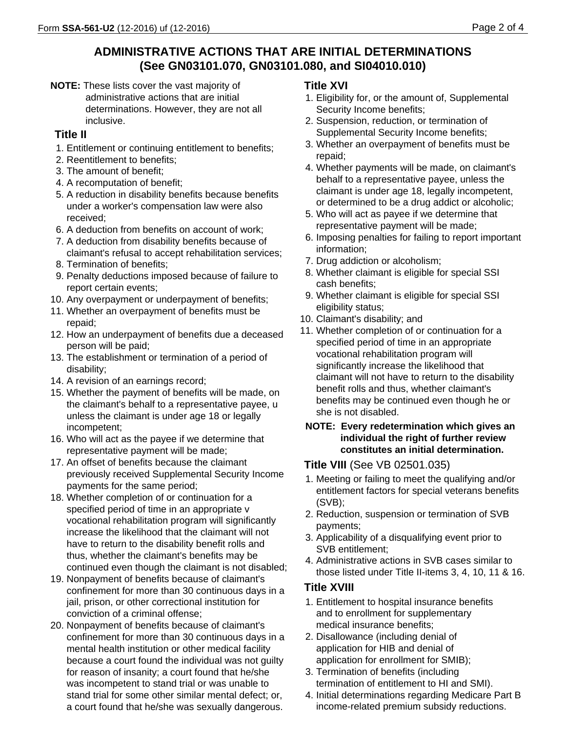# **ADMINISTRATIVE ACTIONS THAT ARE INITIAL DETERMINATIONS (See GN03101.070, GN03101.080, and SI04010.010)**

**NOTE:** These lists cover the vast majority of administrative actions that are initial determinations. However, they are not all inclusive.

# **Title II**

- 1. Entitlement or continuing entitlement to benefits;
- 2. Reentitlement to benefits;
- 3. The amount of benefit;
- 4. A recomputation of benefit;
- 5. A reduction in disability benefits because benefits under a worker's compensation law were also received;
- 6. A deduction from benefits on account of work;
- 7. A deduction from disability benefits because of claimant's refusal to accept rehabilitation services;
- 8. Termination of benefits;
- 9. Penalty deductions imposed because of failure to report certain events;
- 10. Any overpayment or underpayment of benefits;
- 11. Whether an overpayment of benefits must be repaid;
- 12. How an underpayment of benefits due a deceased person will be paid;
- 13. The establishment or termination of a period of disability;
- 14. A revision of an earnings record;
- 15. Whether the payment of benefits will be made, on the claimant's behalf to a representative payee, u unless the claimant is under age 18 or legally incompetent;
- 16. Who will act as the payee if we determine that representative payment will be made;
- 17. An offset of benefits because the claimant previously received Supplemental Security Income payments for the same period;
- 18. Whether completion of or continuation for a specified period of time in an appropriate v vocational rehabilitation program will significantly increase the likelihood that the claimant will not have to return to the disability benefit rolls and thus, whether the claimant's benefits may be continued even though the claimant is not disabled;
- 19. Nonpayment of benefits because of claimant's confinement for more than 30 continuous days in a jail, prison, or other correctional institution for conviction of a criminal offense;
- 20. Nonpayment of benefits because of claimant's confinement for more than 30 continuous days in a mental health institution or other medical facility because a court found the individual was not guilty for reason of insanity; a court found that he/she was incompetent to stand trial or was unable to stand trial for some other similar mental defect; or, a court found that he/she was sexually dangerous.

## **Title XVI**

- 1. Eligibility for, or the amount of, Supplemental Security Income benefits;
- 2. Suspension, reduction, or termination of Supplemental Security Income benefits;
- 3. Whether an overpayment of benefits must be repaid;
- 4. Whether payments will be made, on claimant's behalf to a representative payee, unless the claimant is under age 18, legally incompetent, or determined to be a drug addict or alcoholic;
- 5. Who will act as payee if we determine that representative payment will be made;
- 6. Imposing penalties for failing to report important information;
- 7. Drug addiction or alcoholism;
- 8. Whether claimant is eligible for special SSI cash benefits;
- 9. Whether claimant is eligible for special SSI eligibility status;
- 10. Claimant's disability; and
- 11. Whether completion of or continuation for a specified period of time in an appropriate vocational rehabilitation program will significantly increase the likelihood that claimant will not have to return to the disability benefit rolls and thus, whether claimant's benefits may be continued even though he or she is not disabled.

## **NOTE: Every redetermination which gives an individual the right of further review constitutes an initial determination.**

# **Title VIII** (See VB 02501.035)

- 1. Meeting or failing to meet the qualifying and/or entitlement factors for special veterans benefits (SVB);
- 2. Reduction, suspension or termination of SVB payments;
- 3. Applicability of a disqualifying event prior to SVB entitlement;
- 4. Administrative actions in SVB cases similar to those listed under Title II-items 3, 4, 10, 11 & 16.

# **Title XVIII**

- 1. Entitlement to hospital insurance benefits and to enrollment for supplementary medical insurance benefits;
- 2. Disallowance (including denial of application for HIB and denial of application for enrollment for SMIB);
- 3. Termination of benefits (including termination of entitlement to HI and SMI).
- 4. Initial determinations regarding Medicare Part B income-related premium subsidy reductions.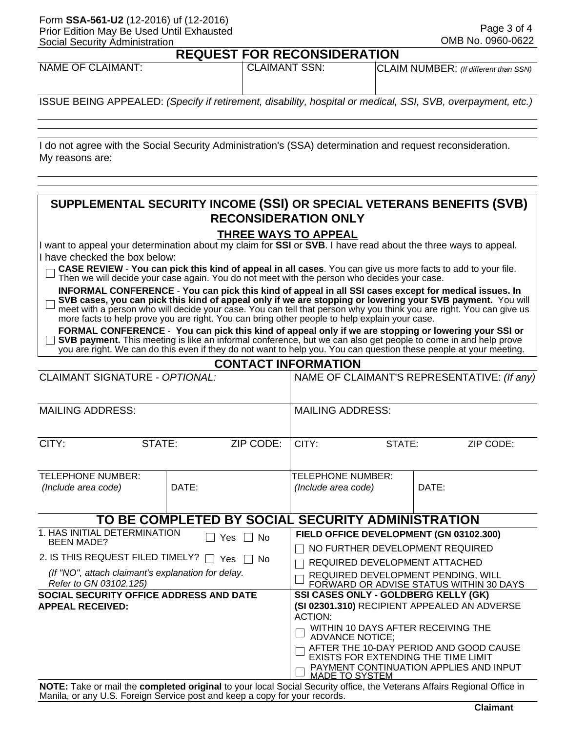#### Form **SSA-561-U2** (12-2016) uf (12-2016) Prior Edition May Be Used Until Exhausted Social Security Administration

#### **REQUEST FOR RECONSIDERATION**

| <b>NAME OF CLAIMANT:</b> | <b>CLAIMANT SSN:</b> | CLAIM NUMBER: (If different than SSN) |  |  |  |  |
|--------------------------|----------------------|---------------------------------------|--|--|--|--|
|                          |                      |                                       |  |  |  |  |

ISSUE BEING APPEALED: *(Specify if retirement, disability, hospital or medical, SSI, SVB, overpayment, etc.)*

I do not agree with the Social Security Administration's (SSA) determination and request reconsideration. My reasons are:

## **SUPPLEMENTAL SECURITY INCOME (SSI) OR SPECIAL VETERANS BENEFITS (SVB) RECONSIDERATION ONLY**

### **THREE WAYS TO APPEAL**

I want to appeal your determination about my claim for **SSI** or **SVB**. I have read about the three ways to appeal. I have checked the box below:

| $\Box$ CASE REVIEW - You can pick this kind of appeal in all cases. You can give us more facts to add to your file. |  |  |
|---------------------------------------------------------------------------------------------------------------------|--|--|
| $\Box$ Then we will decide your case again. You do not meet with the person who decides your case.                  |  |  |

**INFORMAL CONFERENCE** - **You can pick this kind of appeal in all SSI cases except for medical issues. In SVB cases, you can pick this kind of appeal only if we are stopping or lowering your SVB payment.** You will П meet with a person who will decide your case. You can tell that person why you think you are right. You can give us more facts to help prove you are right. You can bring other people to help explain your case.

**FORMAL CONFERENCE** - **You can pick this kind of appeal only if we are stopping or lowering your SSI or SVB payment.** This meeting is like an informal conference, but we can also get people to come in and help prove you are right. We can do this even if they do not want to help you. You can question these people at your meeting.

|--|

| <b>CLAIMANT SIGNATURE - OPTIONAL:</b>                              |        |                                                                                      | NAME OF CLAIMANT'S REPRESENTATIVE: (If any)                     |                                         |       |                                         |
|--------------------------------------------------------------------|--------|--------------------------------------------------------------------------------------|-----------------------------------------------------------------|-----------------------------------------|-------|-----------------------------------------|
| <b>MAILING ADDRESS:</b>                                            |        |                                                                                      | <b>MAILING ADDRESS:</b>                                         |                                         |       |                                         |
| CITY:                                                              | STATE: | ZIP CODE:                                                                            | CITY:<br>STATE:<br>ZIP CODE:                                    |                                         |       |                                         |
| TELEPHONE NUMBER:                                                  |        |                                                                                      | TELEPHONE NUMBER:                                               |                                         |       |                                         |
| (Include area code)                                                | DATE:  |                                                                                      | (Include area code)                                             |                                         | DATE: |                                         |
|                                                                    |        |                                                                                      |                                                                 |                                         |       |                                         |
|                                                                    |        | TO BE COMPLETED BY SOCIAL SECURITY ADMINISTRATION                                    |                                                                 |                                         |       |                                         |
| 1. HAS INITIAL DETERMINATION<br><b>BEEN MADE?</b>                  |        | Yes $\Box$ No                                                                        |                                                                 | FIELD OFFICE DEVELOPMENT (GN 03102.300) |       |                                         |
|                                                                    |        |                                                                                      |                                                                 | NO FURTHER DEVELOPMENT REQUIRED         |       |                                         |
| 2. IS THIS REQUEST FILED TIMELY? $\Box$ Yes $\Box$ No              |        |                                                                                      |                                                                 | REQUIRED DEVELOPMENT ATTACHED           |       |                                         |
| (If "NO", attach claimant's explanation for delay.                 |        |                                                                                      |                                                                 | REQUIRED DEVELOPMENT PENDING, WILL      |       |                                         |
| Refer to GN 03102.125)                                             |        |                                                                                      |                                                                 |                                         |       | FORWARD OR ADVISE STATUS WITHIN 30 DAYS |
| SOCIAL SECURITY OFFICE ADDRESS AND DATE<br><b>APPEAL RECEIVED:</b> |        | SSI CASES ONLY - GOLDBERG KELLY (GK)<br>(SI 02301.310) RECIPIENT APPEALED AN ADVERSE |                                                                 |                                         |       |                                         |
|                                                                    |        | <b>ACTION:</b>                                                                       |                                                                 |                                         |       |                                         |
|                                                                    |        | WITHIN 10 DAYS AFTER RECEIVING THE<br><b>ADVANCE NOTICE:</b>                         |                                                                 |                                         |       |                                         |
|                                                                    |        | AFTER THE 10-DAY PERIOD AND GOOD CAUSE<br>EXISTS FOR EXTENDING THE TIME LIMIT        |                                                                 |                                         |       |                                         |
|                                                                    |        |                                                                                      | PAYMENT CONTINUATION APPLIES AND INPUT<br><b>MADE TO SYSTEM</b> |                                         |       |                                         |

**NOTE:** Take or mail the **completed original** to your local Social Security office, the Veterans Affairs Regional Office in Manila, or any U.S. Foreign Service post and keep a copy for your records.